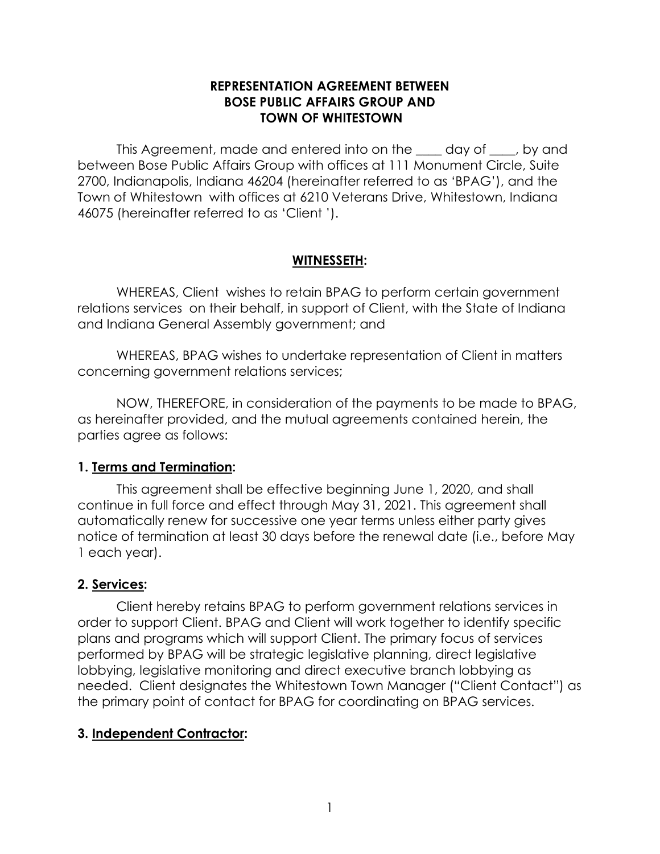## **REPRESENTATION AGREEMENT BETWEEN BOSE PUBLIC AFFAIRS GROUP AND TOWN OF WHITESTOWN**

This Agreement, made and entered into on the \_\_\_\_ day of \_\_\_\_, by and between Bose Public Affairs Group with offices at 111 Monument Circle, Suite 2700, Indianapolis, Indiana 46204 (hereinafter referred to as 'BPAG'), and the Town of Whitestown with offices at 6210 Veterans Drive, Whitestown, Indiana 46075 (hereinafter referred to as 'Client ').

# **WITNESSETH:**

WHEREAS, Client wishes to retain BPAG to perform certain government relations services on their behalf, in support of Client, with the State of Indiana and Indiana General Assembly government; and

WHEREAS, BPAG wishes to undertake representation of Client in matters concerning government relations services;

NOW, THEREFORE, in consideration of the payments to be made to BPAG, as hereinafter provided, and the mutual agreements contained herein, the parties agree as follows:

# **1. Terms and Termination:**

This agreement shall be effective beginning June 1, 2020, and shall continue in full force and effect through May 31, 2021. This agreement shall automatically renew for successive one year terms unless either party gives notice of termination at least 30 days before the renewal date (i.e., before May 1 each year).

# **2. Services:**

Client hereby retains BPAG to perform government relations services in order to support Client. BPAG and Client will work together to identify specific plans and programs which will support Client. The primary focus of services performed by BPAG will be strategic legislative planning, direct legislative lobbying, legislative monitoring and direct executive branch lobbying as needed. Client designates the Whitestown Town Manager ("Client Contact") as the primary point of contact for BPAG for coordinating on BPAG services.

# **3. Independent Contractor:**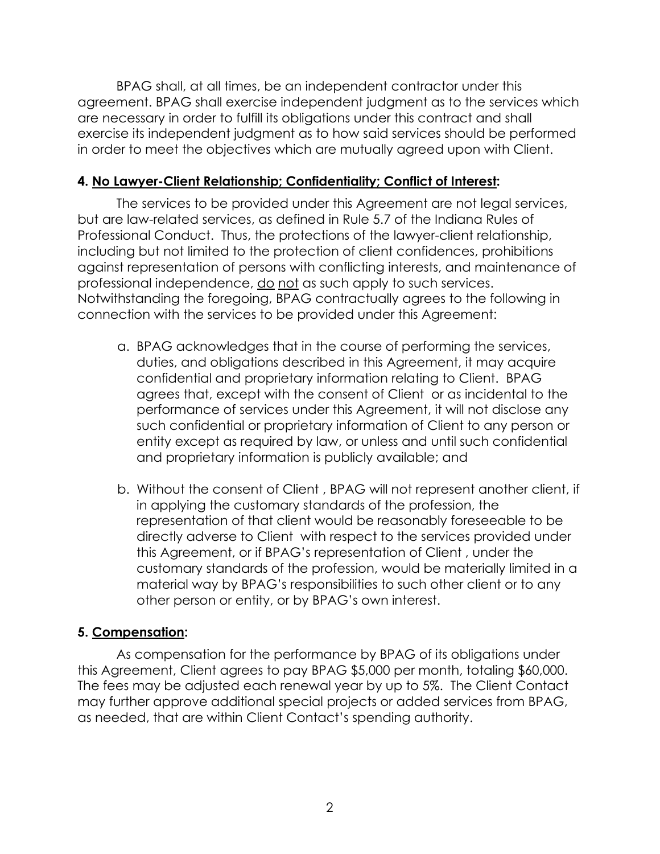BPAG shall, at all times, be an independent contractor under this agreement. BPAG shall exercise independent judgment as to the services which are necessary in order to fulfill its obligations under this contract and shall exercise its independent judgment as to how said services should be performed in order to meet the objectives which are mutually agreed upon with Client.

## **4. No Lawyer-Client Relationship; Confidentiality; Conflict of Interest:**

The services to be provided under this Agreement are not legal services, but are law-related services, as defined in Rule 5.7 of the Indiana Rules of Professional Conduct. Thus, the protections of the lawyer-client relationship, including but not limited to the protection of client confidences, prohibitions against representation of persons with conflicting interests, and maintenance of professional independence, do not as such apply to such services. Notwithstanding the foregoing, BPAG contractually agrees to the following in connection with the services to be provided under this Agreement:

- a. BPAG acknowledges that in the course of performing the services, duties, and obligations described in this Agreement, it may acquire confidential and proprietary information relating to Client. BPAG agrees that, except with the consent of Client or as incidental to the performance of services under this Agreement, it will not disclose any such confidential or proprietary information of Client to any person or entity except as required by law, or unless and until such confidential and proprietary information is publicly available; and
- b. Without the consent of Client , BPAG will not represent another client, if in applying the customary standards of the profession, the representation of that client would be reasonably foreseeable to be directly adverse to Client with respect to the services provided under this Agreement, or if BPAG's representation of Client , under the customary standards of the profession, would be materially limited in a material way by BPAG's responsibilities to such other client or to any other person or entity, or by BPAG's own interest.

# **5. Compensation:**

As compensation for the performance by BPAG of its obligations under this Agreement, Client agrees to pay BPAG \$5,000 per month, totaling \$60,000. The fees may be adjusted each renewal year by up to 5%. The Client Contact may further approve additional special projects or added services from BPAG, as needed, that are within Client Contact's spending authority.